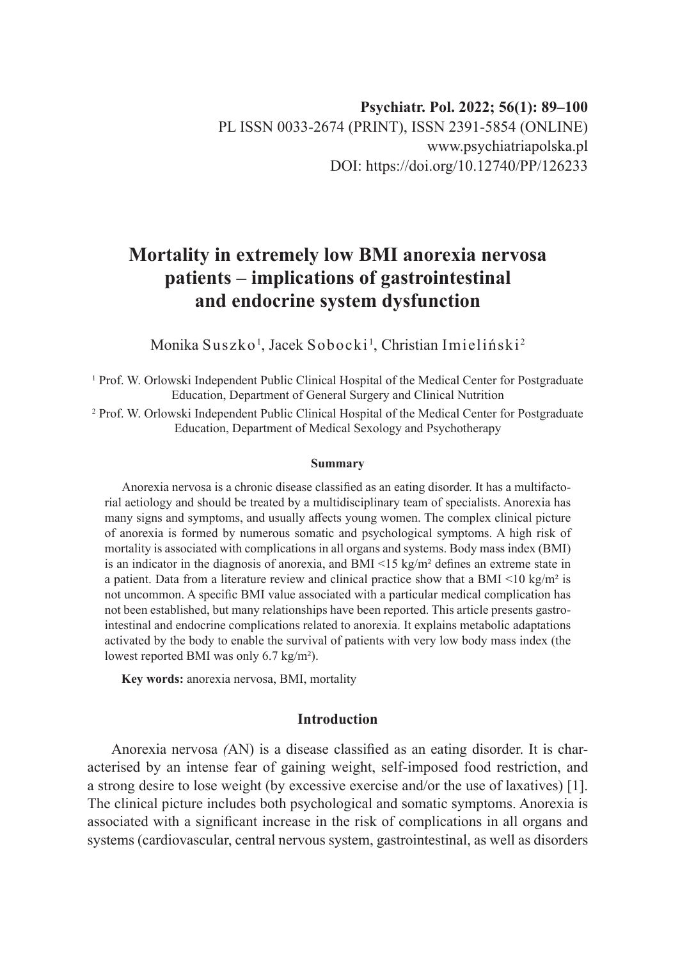# **Mortality in extremely low BMI anorexia nervosa patients – implications of gastrointestinal and endocrine system dysfunction**

Monika Suszko<sup>1</sup>, Jacek Sobocki<sup>1</sup>, Christian Imieliński<sup>2</sup>

<sup>1</sup> Prof. W. Orlowski Independent Public Clinical Hospital of the Medical Center for Postgraduate Education, Department of General Surgery and Clinical Nutrition

2 Prof. W. Orlowski Independent Public Clinical Hospital of the Medical Center for Postgraduate Education, Department of Medical Sexology and Psychotherapy

#### **Summary**

Anorexia nervosa is a chronic disease classified as an eating disorder. It has a multifactorial aetiology and should be treated by a multidisciplinary team of specialists. Anorexia has many signs and symptoms, and usually affects young women. The complex clinical picture of anorexia is formed by numerous somatic and psychological symptoms. A high risk of mortality is associated with complications in all organs and systems. Body mass index (BMI) is an indicator in the diagnosis of anorexia, and BMI  $\leq 15$  kg/m<sup>2</sup> defines an extreme state in a patient. Data from a literature review and clinical practice show that a BMI  $\leq 10 \text{ kg/m}^2$  is not uncommon. A specific BMI value associated with a particular medical complication has not been established, but many relationships have been reported. This article presents gastrointestinal and endocrine complications related to anorexia. It explains metabolic adaptations activated by the body to enable the survival of patients with very low body mass index (the lowest reported BMI was only 6.7 kg/m²).

**Key words:** anorexia nervosa, BMI, mortality

# **Introduction**

Anorexia nervosa *(*AN) is a disease classified as an eating disorder. It is characterised by an intense fear of gaining weight, self-imposed food restriction, and a strong desire to lose weight (by excessive exercise and/or the use of laxatives) [1]. The clinical picture includes both psychological and somatic symptoms. Anorexia is associated with a significant increase in the risk of complications in all organs and systems (cardiovascular, central nervous system, gastrointestinal, as well as disorders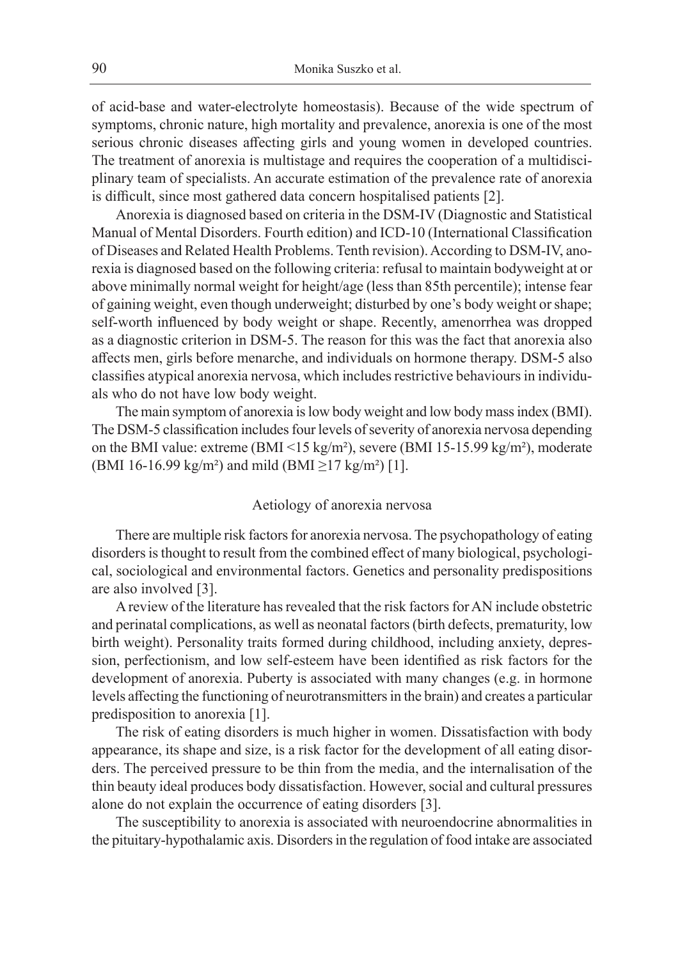of acid-base and water-electrolyte homeostasis). Because of the wide spectrum of symptoms, chronic nature, high mortality and prevalence, anorexia is one of the most serious chronic diseases affecting girls and young women in developed countries. The treatment of anorexia is multistage and requires the cooperation of a multidisciplinary team of specialists. An accurate estimation of the prevalence rate of anorexia is difficult, since most gathered data concern hospitalised patients [2].

Anorexia is diagnosed based on criteria in the DSM-IV (Diagnostic and Statistical Manual of Mental Disorders. Fourth edition) and ICD-10 (International Classification of Diseases and Related Health Problems. Tenth revision). According to DSM-IV, anorexia is diagnosed based on the following criteria: refusal to maintain bodyweight at or above minimally normal weight for height/age (less than 85th percentile); intense fear of gaining weight, even though underweight; disturbed by one's body weight or shape; self-worth influenced by body weight or shape. Recently, amenorrhea was dropped as a diagnostic criterion in DSM-5. The reason for this was the fact that anorexia also affects men, girls before menarche, and individuals on hormone therapy. DSM-5 also classifies atypical anorexia nervosa, which includes restrictive behaviours in individuals who do not have low body weight.

The main symptom of anorexia is low body weight and low body mass index (BMI). The DSM-5 classification includes four levels of severity of anorexia nervosa depending on the BMI value: extreme (BMI <15 kg/m²), severe (BMI 15-15.99 kg/m²), moderate (BMI 16-16.99 kg/m<sup>2</sup>) and mild (BMI  $\geq$ 17 kg/m<sup>2</sup>) [1].

#### Aetiology of anorexia nervosa

There are multiple risk factors for anorexia nervosa. The psychopathology of eating disorders is thought to result from the combined effect of many biological, psychological, sociological and environmental factors. Genetics and personality predispositions are also involved [3].

A review of the literature has revealed that the risk factors for AN include obstetric and perinatal complications, as well as neonatal factors (birth defects, prematurity, low birth weight). Personality traits formed during childhood, including anxiety, depression, perfectionism, and low self-esteem have been identified as risk factors for the development of anorexia. Puberty is associated with many changes (e.g. in hormone levels affecting the functioning of neurotransmitters in the brain) and creates a particular predisposition to anorexia [1].

The risk of eating disorders is much higher in women. Dissatisfaction with body appearance, its shape and size, is a risk factor for the development of all eating disorders. The perceived pressure to be thin from the media, and the internalisation of the thin beauty ideal produces body dissatisfaction. However, social and cultural pressures alone do not explain the occurrence of eating disorders [3].

The susceptibility to anorexia is associated with neuroendocrine abnormalities in the pituitary-hypothalamic axis. Disorders in the regulation of food intake are associated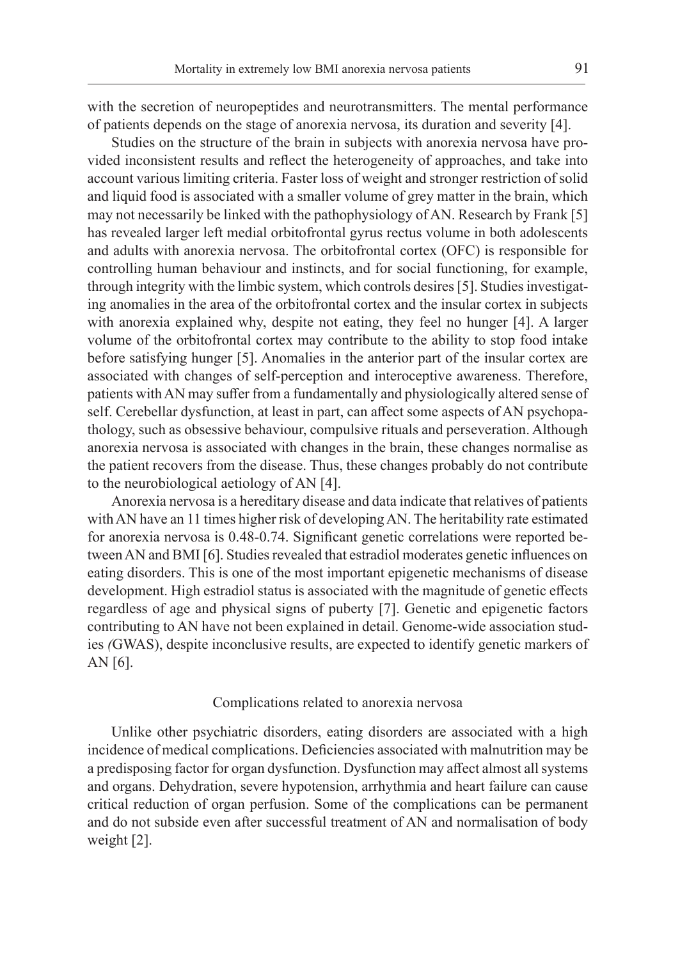with the secretion of neuropeptides and neurotransmitters. The mental performance of patients depends on the stage of anorexia nervosa, its duration and severity [4].

Studies on the structure of the brain in subjects with anorexia nervosa have provided inconsistent results and reflect the heterogeneity of approaches, and take into account various limiting criteria. Faster loss of weight and stronger restriction of solid and liquid food is associated with a smaller volume of grey matter in the brain, which may not necessarily be linked with the pathophysiology of AN. Research by Frank [5] has revealed larger left medial orbitofrontal gyrus rectus volume in both adolescents and adults with anorexia nervosa. The orbitofrontal cortex (OFC) is responsible for controlling human behaviour and instincts, and for social functioning, for example, through integrity with the limbic system, which controls desires [5]. Studies investigating anomalies in the area of the orbitofrontal cortex and the insular cortex in subjects with anorexia explained why, despite not eating, they feel no hunger [4]. A larger volume of the orbitofrontal cortex may contribute to the ability to stop food intake before satisfying hunger [5]. Anomalies in the anterior part of the insular cortex are associated with changes of self-perception and interoceptive awareness. Therefore, patients with AN may suffer from a fundamentally and physiologically altered sense of self. Cerebellar dysfunction, at least in part, can affect some aspects of AN psychopathology, such as obsessive behaviour, compulsive rituals and perseveration. Although anorexia nervosa is associated with changes in the brain, these changes normalise as the patient recovers from the disease. Thus, these changes probably do not contribute to the neurobiological aetiology of AN [4].

Anorexia nervosa is a hereditary disease and data indicate that relatives of patients with AN have an 11 times higher risk of developing AN. The heritability rate estimated for anorexia nervosa is 0.48-0.74. Significant genetic correlations were reported between AN and BMI [6]. Studies revealed that estradiol moderates genetic influences on eating disorders. This is one of the most important epigenetic mechanisms of disease development. High estradiol status is associated with the magnitude of genetic effects regardless of age and physical signs of puberty [7]. Genetic and epigenetic factors contributing to AN have not been explained in detail. Genome-wide association studies *(*GWAS), despite inconclusive results, are expected to identify genetic markers of AN [6].

#### Complications related to anorexia nervosa

Unlike other psychiatric disorders, eating disorders are associated with a high incidence of medical complications. Deficiencies associated with malnutrition may be a predisposing factor for organ dysfunction. Dysfunction may affect almost all systems and organs. Dehydration, severe hypotension, arrhythmia and heart failure can cause critical reduction of organ perfusion. Some of the complications can be permanent and do not subside even after successful treatment of AN and normalisation of body weight [2].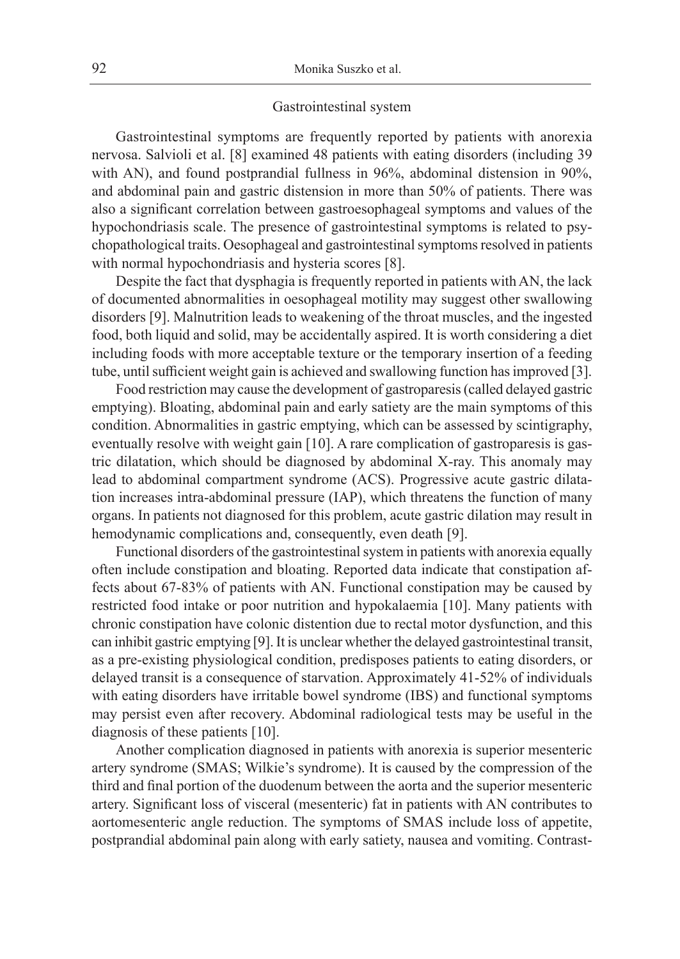## Gastrointestinal system

Gastrointestinal symptoms are frequently reported by patients with anorexia nervosa. Salvioli et al. [8] examined 48 patients with eating disorders (including 39 with AN), and found postprandial fullness in 96%, abdominal distension in 90%, and abdominal pain and gastric distension in more than 50% of patients. There was also a significant correlation between gastroesophageal symptoms and values of the hypochondriasis scale. The presence of gastrointestinal symptoms is related to psychopathological traits. Oesophageal and gastrointestinal symptoms resolved in patients with normal hypochondriasis and hysteria scores [8].

Despite the fact that dysphagia is frequently reported in patients with AN, the lack of documented abnormalities in oesophageal motility may suggest other swallowing disorders [9]. Malnutrition leads to weakening of the throat muscles, and the ingested food, both liquid and solid, may be accidentally aspired. It is worth considering a diet including foods with more acceptable texture or the temporary insertion of a feeding tube, until sufficient weight gain is achieved and swallowing function has improved [3].

Food restriction may cause the development of gastroparesis (called delayed gastric emptying). Bloating, abdominal pain and early satiety are the main symptoms of this condition. Abnormalities in gastric emptying, which can be assessed by scintigraphy, eventually resolve with weight gain [10]. A rare complication of gastroparesis is gastric dilatation, which should be diagnosed by abdominal X-ray. This anomaly may lead to abdominal compartment syndrome (ACS). Progressive acute gastric dilatation increases intra-abdominal pressure (IAP), which threatens the function of many organs. In patients not diagnosed for this problem, acute gastric dilation may result in hemodynamic complications and, consequently, even death [9].

Functional disorders of the gastrointestinal system in patients with anorexia equally often include constipation and bloating. Reported data indicate that constipation affects about 67-83% of patients with AN. Functional constipation may be caused by restricted food intake or poor nutrition and hypokalaemia [10]. Many patients with chronic constipation have colonic distention due to rectal motor dysfunction, and this can inhibit gastric emptying [9]. It is unclear whether the delayed gastrointestinal transit, as a pre-existing physiological condition, predisposes patients to eating disorders, or delayed transit is a consequence of starvation. Approximately 41-52% of individuals with eating disorders have irritable bowel syndrome (IBS) and functional symptoms may persist even after recovery. Abdominal radiological tests may be useful in the diagnosis of these patients [10].

Another complication diagnosed in patients with anorexia is superior mesenteric artery syndrome (SMAS; Wilkie's syndrome). It is caused by the compression of the third and final portion of the duodenum between the aorta and the superior mesenteric artery. Significant loss of visceral (mesenteric) fat in patients with AN contributes to aortomesenteric angle reduction. The symptoms of SMAS include loss of appetite, postprandial abdominal pain along with early satiety, nausea and vomiting. Contrast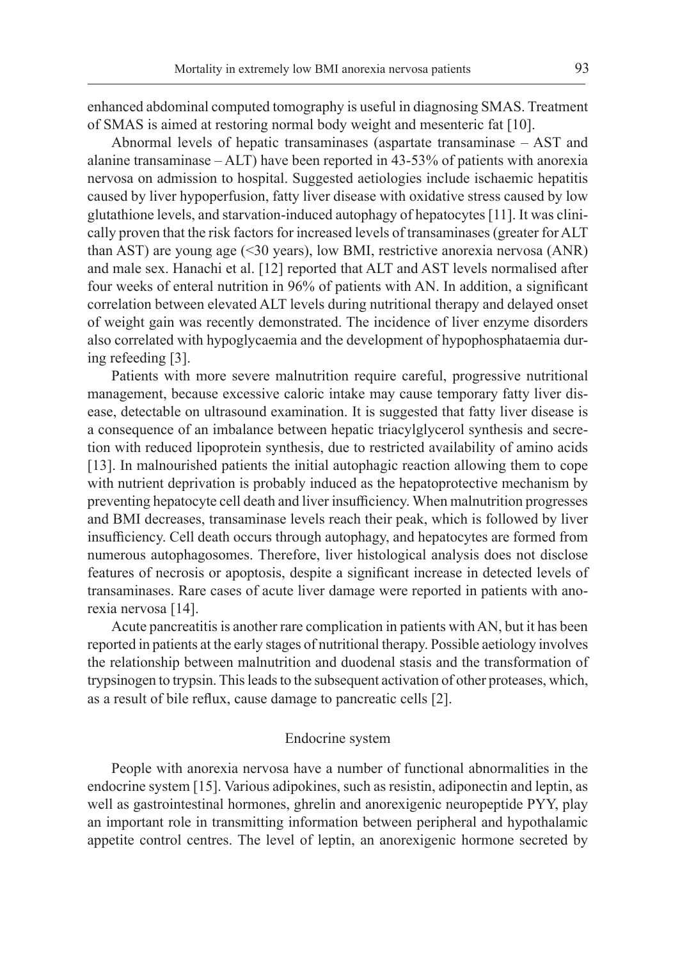enhanced abdominal computed tomography is useful in diagnosing SMAS. Treatment of SMAS is aimed at restoring normal body weight and mesenteric fat [10].

Abnormal levels of hepatic transaminases (aspartate transaminase – AST and alanine transaminase – ALT) have been reported in 43-53% of patients with anorexia nervosa on admission to hospital. Suggested aetiologies include ischaemic hepatitis caused by liver hypoperfusion, fatty liver disease with oxidative stress caused by low glutathione levels, and starvation-induced autophagy of hepatocytes [11]. It was clinically proven that the risk factors for increased levels of transaminases (greater for ALT than AST) are young age (<30 years), low BMI, restrictive anorexia nervosa (ANR) and male sex. Hanachi et al. [12] reported that ALT and AST levels normalised after four weeks of enteral nutrition in 96% of patients with AN. In addition, a significant correlation between elevated ALT levels during nutritional therapy and delayed onset of weight gain was recently demonstrated. The incidence of liver enzyme disorders also correlated with hypoglycaemia and the development of hypophosphataemia during refeeding [3].

Patients with more severe malnutrition require careful, progressive nutritional management, because excessive caloric intake may cause temporary fatty liver disease, detectable on ultrasound examination. It is suggested that fatty liver disease is a consequence of an imbalance between hepatic triacylglycerol synthesis and secretion with reduced lipoprotein synthesis, due to restricted availability of amino acids [13]. In malnourished patients the initial autophagic reaction allowing them to cope with nutrient deprivation is probably induced as the hepatoprotective mechanism by preventing hepatocyte cell death and liver insufficiency. When malnutrition progresses and BMI decreases, transaminase levels reach their peak, which is followed by liver insufficiency. Cell death occurs through autophagy, and hepatocytes are formed from numerous autophagosomes. Therefore, liver histological analysis does not disclose features of necrosis or apoptosis, despite a significant increase in detected levels of transaminases. Rare cases of acute liver damage were reported in patients with anorexia nervosa [14].

Acute pancreatitis is another rare complication in patients with AN, but it has been reported in patients at the early stages of nutritional therapy. Possible aetiology involves the relationship between malnutrition and duodenal stasis and the transformation of trypsinogen to trypsin. This leads to the subsequent activation of other proteases, which, as a result of bile reflux, cause damage to pancreatic cells [2].

# Endocrine system

People with anorexia nervosa have a number of functional abnormalities in the endocrine system [15]. Various adipokines, such as resistin, adiponectin and leptin, as well as gastrointestinal hormones, ghrelin and anorexigenic neuropeptide PYY, play an important role in transmitting information between peripheral and hypothalamic appetite control centres. The level of leptin, an anorexigenic hormone secreted by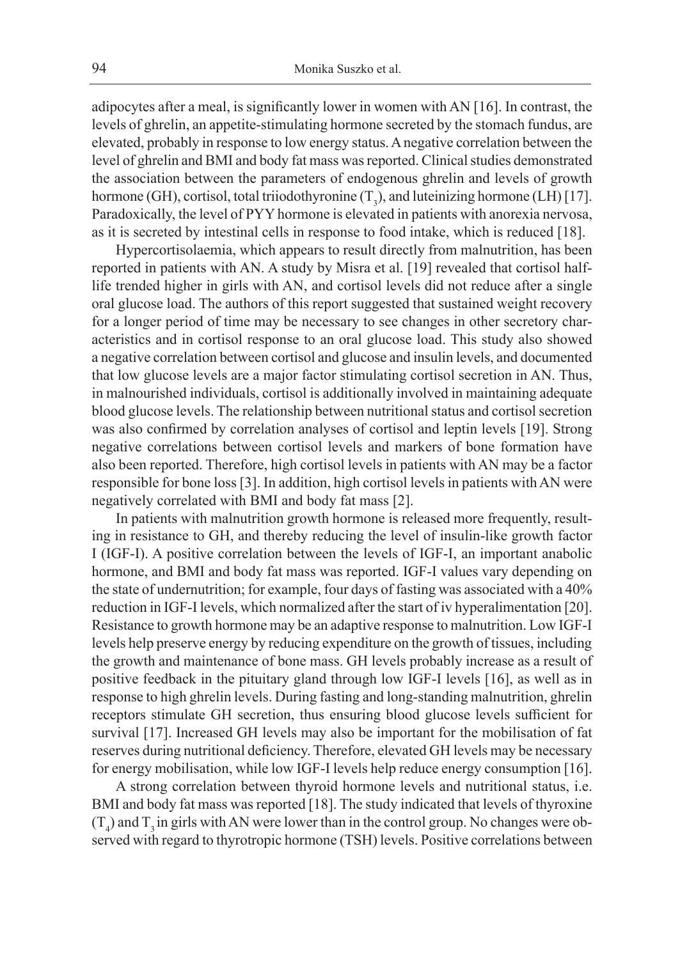adipocytes after a meal, is significantly lower in women with AN [16]. In contrast, the levels of ghrelin, an appetite-stimulating hormone secreted by the stomach fundus, are elevated, probably in response to low energy status. A negative correlation between the level of ghrelin and BMI and body fat mass was reported. Clinical studies demonstrated the association between the parameters of endogenous ghrelin and levels of growth hormone (GH), cortisol, total triiodothyronine  $(T_3)$ , and luteinizing hormone (LH) [17]. Paradoxically, the level of PYY hormone is elevated in patients with anorexia nervosa, as it is secreted by intestinal cells in response to food intake, which is reduced [18].

Hypercortisolaemia, which appears to result directly from malnutrition, has been reported in patients with AN. A study by Misra et al. [19] revealed that cortisol halflife trended higher in girls with AN, and cortisol levels did not reduce after a single oral glucose load. The authors of this report suggested that sustained weight recovery for a longer period of time may be necessary to see changes in other secretory characteristics and in cortisol response to an oral glucose load. This study also showed a negative correlation between cortisol and glucose and insulin levels, and documented that low glucose levels are a major factor stimulating cortisol secretion in AN. Thus, in malnourished individuals, cortisol is additionally involved in maintaining adequate blood glucose levels. The relationship between nutritional status and cortisol secretion was also confirmed by correlation analyses of cortisol and leptin levels [19]. Strong negative correlations between cortisol levels and markers of bone formation have also been reported. Therefore, high cortisol levels in patients with AN may be a factor responsible for bone loss [3]. In addition, high cortisol levels in patients with AN were negatively correlated with BMI and body fat mass [2].

In patients with malnutrition growth hormone is released more frequently, resulting in resistance to GH, and thereby reducing the level of insulin-like growth factor I (IGF-I). A positive correlation between the levels of IGF-I, an important anabolic hormone, and BMI and body fat mass was reported. IGF-I values vary depending on the state of undernutrition; for example, four days of fasting was associated with a 40% reduction in IGF-I levels, which normalized after the start of iv hyperalimentation [20]. Resistance to growth hormone may be an adaptive response to malnutrition. Low IGF-I levels help preserve energy by reducing expenditure on the growth of tissues, including the growth and maintenance of bone mass. GH levels probably increase as a result of positive feedback in the pituitary gland through low IGF-I levels [16], as well as in response to high ghrelin levels. During fasting and long-standing malnutrition, ghrelin receptors stimulate GH secretion, thus ensuring blood glucose levels sufficient for survival [17]. Increased GH levels may also be important for the mobilisation of fat reserves during nutritional deficiency. Therefore, elevated GH levels may be necessary for energy mobilisation, while low IGF-I levels help reduce energy consumption [16].

A strong correlation between thyroid hormone levels and nutritional status, i.e. BMI and body fat mass was reported [18]. The study indicated that levels of thyroxine  $(T_4)$  and  $T_3$  in girls with AN were lower than in the control group. No changes were observed with regard to thyrotropic hormone (TSH) levels. Positive correlations between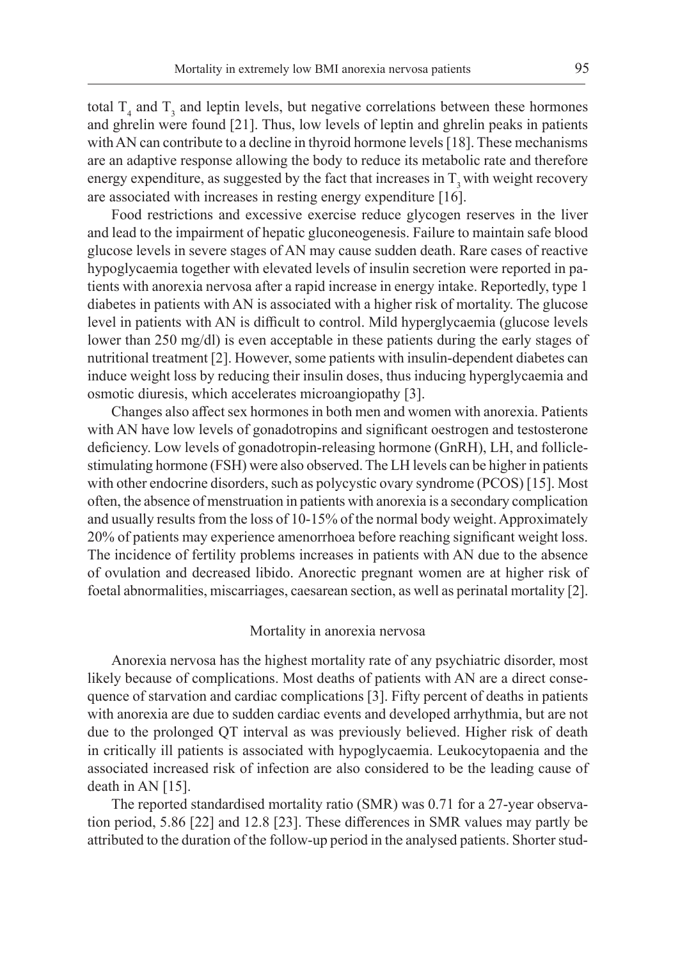total  $T_4$  and  $T_3$  and leptin levels, but negative correlations between these hormones and ghrelin were found [21]. Thus, low levels of leptin and ghrelin peaks in patients with AN can contribute to a decline in thyroid hormone levels [18]. These mechanisms are an adaptive response allowing the body to reduce its metabolic rate and therefore energy expenditure, as suggested by the fact that increases in  $T$ , with weight recovery are associated with increases in resting energy expenditure [16].

Food restrictions and excessive exercise reduce glycogen reserves in the liver and lead to the impairment of hepatic gluconeogenesis. Failure to maintain safe blood glucose levels in severe stages of AN may cause sudden death. Rare cases of reactive hypoglycaemia together with elevated levels of insulin secretion were reported in patients with anorexia nervosa after a rapid increase in energy intake. Reportedly, type 1 diabetes in patients with AN is associated with a higher risk of mortality. The glucose level in patients with AN is difficult to control. Mild hyperglycaemia (glucose levels lower than 250 mg/dl) is even acceptable in these patients during the early stages of nutritional treatment [2]. However, some patients with insulin-dependent diabetes can induce weight loss by reducing their insulin doses, thus inducing hyperglycaemia and osmotic diuresis, which accelerates microangiopathy [3].

Changes also affect sex hormones in both men and women with anorexia. Patients with AN have low levels of gonadotropins and significant oestrogen and testosterone deficiency. Low levels of gonadotropin-releasing hormone (GnRH), LH, and folliclestimulating hormone (FSH) were also observed. The LH levels can be higher in patients with other endocrine disorders, such as polycystic ovary syndrome (PCOS) [15]. Most often, the absence of menstruation in patients with anorexia is a secondary complication and usually results from the loss of 10-15% of the normal body weight. Approximately 20% of patients may experience amenorrhoea before reaching significant weight loss. The incidence of fertility problems increases in patients with AN due to the absence of ovulation and decreased libido. Anorectic pregnant women are at higher risk of foetal abnormalities, miscarriages, caesarean section, as well as perinatal mortality [2].

## Mortality in anorexia nervosa

Anorexia nervosa has the highest mortality rate of any psychiatric disorder, most likely because of complications. Most deaths of patients with AN are a direct consequence of starvation and cardiac complications [3]. Fifty percent of deaths in patients with anorexia are due to sudden cardiac events and developed arrhythmia, but are not due to the prolonged QT interval as was previously believed. Higher risk of death in critically ill patients is associated with hypoglycaemia. Leukocytopaenia and the associated increased risk of infection are also considered to be the leading cause of death in AN  $[15]$ .

The reported standardised mortality ratio (SMR) was 0.71 for a 27-year observation period, 5.86 [22] and 12.8 [23]. These differences in SMR values may partly be attributed to the duration of the follow-up period in the analysed patients. Shorter stud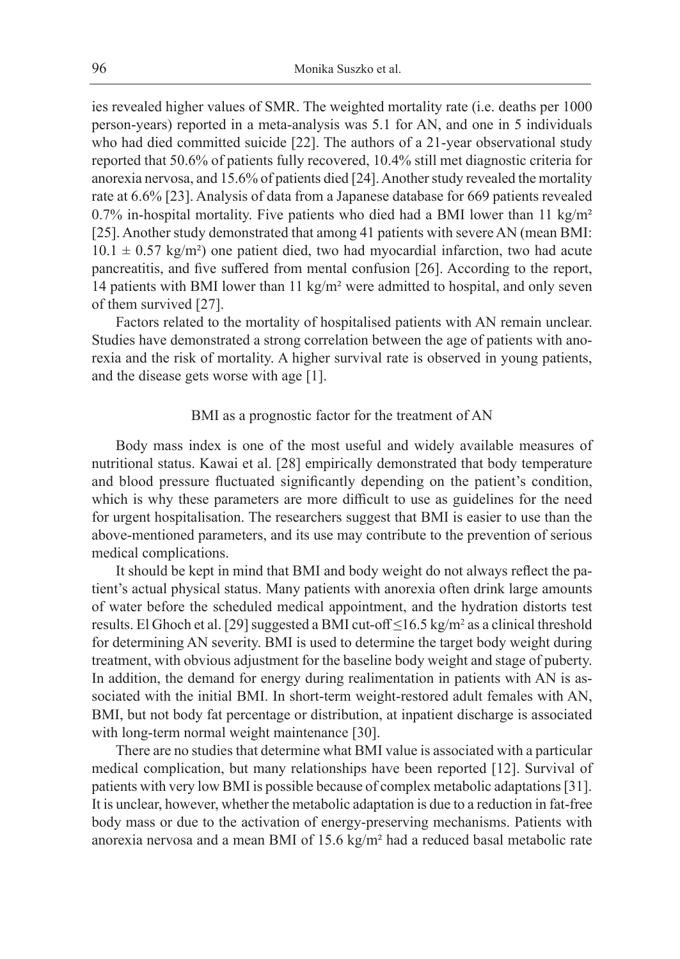ies revealed higher values of SMR. The weighted mortality rate (i.e. deaths per 1000 person-years) reported in a meta-analysis was 5.1 for AN, and one in 5 individuals who had died committed suicide [22]. The authors of a 21-year observational study reported that 50.6% of patients fully recovered, 10.4% still met diagnostic criteria for anorexia nervosa, and 15.6% of patients died [24]. Another study revealed the mortality rate at 6.6% [23]. Analysis of data from a Japanese database for 669 patients revealed 0.7% in-hospital mortality. Five patients who died had a BMI lower than 11 kg/m<sup>2</sup> [25]. Another study demonstrated that among 41 patients with severe AN (mean BMI:  $10.1 \pm 0.57$  kg/m<sup>2</sup>) one patient died, two had myocardial infarction, two had acute pancreatitis, and five suffered from mental confusion [26]. According to the report, 14 patients with BMI lower than 11 kg/m² were admitted to hospital, and only seven of them survived [27].

Factors related to the mortality of hospitalised patients with AN remain unclear. Studies have demonstrated a strong correlation between the age of patients with anorexia and the risk of mortality. A higher survival rate is observed in young patients, and the disease gets worse with age [1].

# BMI as a prognostic factor for the treatment of AN

Body mass index is one of the most useful and widely available measures of nutritional status. Kawai et al. [28] empirically demonstrated that body temperature and blood pressure fluctuated significantly depending on the patient's condition, which is why these parameters are more difficult to use as guidelines for the need for urgent hospitalisation. The researchers suggest that BMI is easier to use than the above-mentioned parameters, and its use may contribute to the prevention of serious medical complications.

It should be kept in mind that BMI and body weight do not always reflect the patient's actual physical status. Many patients with anorexia often drink large amounts of water before the scheduled medical appointment, and the hydration distorts test results. El Ghoch et al. [29] suggested a BMI cut-off  $\leq$ 16.5 kg/m<sup>2</sup> as a clinical threshold for determining AN severity. BMI is used to determine the target body weight during treatment, with obvious adjustment for the baseline body weight and stage of puberty. In addition, the demand for energy during realimentation in patients with AN is associated with the initial BMI. In short-term weight-restored adult females with AN, BMI, but not body fat percentage or distribution, at inpatient discharge is associated with long-term normal weight maintenance [30].

There are no studies that determine what BMI value is associated with a particular medical complication, but many relationships have been reported [12]. Survival of patients with very low BMI is possible because of complex metabolic adaptations [31]. It is unclear, however, whether the metabolic adaptation is due to a reduction in fat-free body mass or due to the activation of energy-preserving mechanisms. Patients with anorexia nervosa and a mean BMI of 15.6 kg/m² had a reduced basal metabolic rate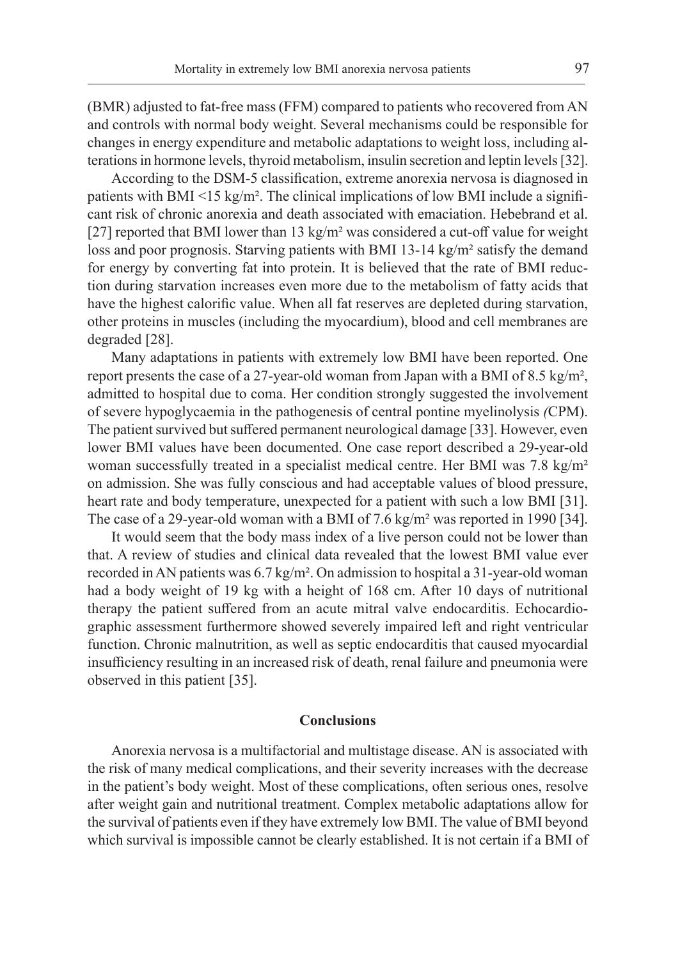(BMR) adjusted to fat-free mass (FFM) compared to patients who recovered from AN and controls with normal body weight. Several mechanisms could be responsible for changes in energy expenditure and metabolic adaptations to weight loss, including alterations in hormone levels, thyroid metabolism, insulin secretion and leptin levels [32].

According to the DSM-5 classification, extreme anorexia nervosa is diagnosed in patients with BMI  $\leq$  15 kg/m<sup>2</sup>. The clinical implications of low BMI include a significant risk of chronic anorexia and death associated with emaciation. Hebebrand et al. [27] reported that BMI lower than 13 kg/m² was considered a cut-off value for weight loss and poor prognosis. Starving patients with BMI 13-14 kg/m² satisfy the demand for energy by converting fat into protein. It is believed that the rate of BMI reduction during starvation increases even more due to the metabolism of fatty acids that have the highest calorific value. When all fat reserves are depleted during starvation, other proteins in muscles (including the myocardium), blood and cell membranes are degraded [28].

Many adaptations in patients with extremely low BMI have been reported. One report presents the case of a 27-year-old woman from Japan with a BMI of 8.5 kg/m², admitted to hospital due to coma. Her condition strongly suggested the involvement of severe hypoglycaemia in the pathogenesis of central pontine myelinolysis *(*CPM). The patient survived but suffered permanent neurological damage [33]. However, even lower BMI values have been documented. One case report described a 29-year-old woman successfully treated in a specialist medical centre. Her BMI was 7.8 kg/m<sup>2</sup> on admission. She was fully conscious and had acceptable values of blood pressure, heart rate and body temperature, unexpected for a patient with such a low BMI [31]. The case of a 29-year-old woman with a BMI of 7.6 kg/m² was reported in 1990 [34].

It would seem that the body mass index of a live person could not be lower than that. A review of studies and clinical data revealed that the lowest BMI value ever recorded in AN patients was  $6.7 \text{ kg/m}^2$ . On admission to hospital a 31-year-old woman had a body weight of 19 kg with a height of 168 cm. After 10 days of nutritional therapy the patient suffered from an acute mitral valve endocarditis. Echocardiographic assessment furthermore showed severely impaired left and right ventricular function. Chronic malnutrition, as well as septic endocarditis that caused myocardial insufficiency resulting in an increased risk of death, renal failure and pneumonia were observed in this patient [35].

#### **Conclusions**

Anorexia nervosa is a multifactorial and multistage disease. AN is associated with the risk of many medical complications, and their severity increases with the decrease in the patient's body weight. Most of these complications, often serious ones, resolve after weight gain and nutritional treatment. Complex metabolic adaptations allow for the survival of patients even if they have extremely low BMI. The value of BMI beyond which survival is impossible cannot be clearly established. It is not certain if a BMI of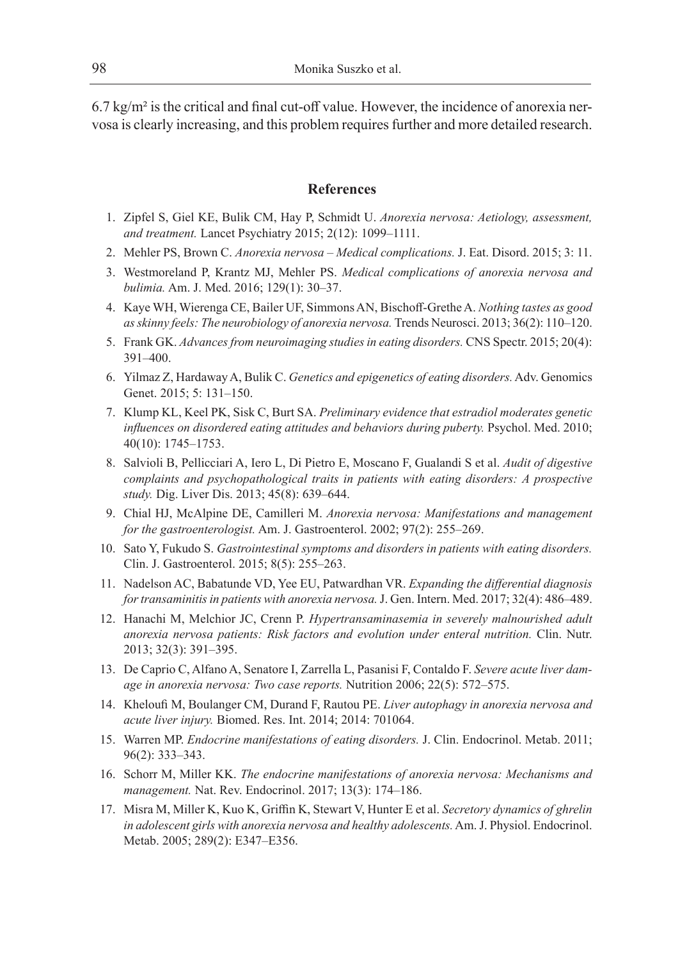$6.7 \text{ kg/m}^2$  is the critical and final cut-off value. However, the incidence of anorexia nervosa is clearly increasing, and this problem requires further and more detailed research.

# **References**

- 1. Zipfel S, Giel KE, Bulik CM, Hay P, Schmidt U. *Anorexia nervosa: Aetiology, assessment, and treatment.* Lancet Psychiatry 2015; 2(12): 1099–1111.
- 2. Mehler PS, Brown C. *Anorexia nervosa Medical complications.* J. Eat. Disord. 2015; 3: 11.
- 3. Westmoreland P, Krantz MJ, Mehler PS. *Medical complications of anorexia nervosa and bulimia.* Am. J. Med. 2016; 129(1): 30–37.
- 4. Kaye WH, Wierenga CE, Bailer UF, Simmons AN, Bischoff-Grethe A. *Nothing tastes as good as skinny feels: The neurobiology of anorexia nervosa.* Trends Neurosci. 2013; 36(2): 110–120.
- 5. Frank GK. *Advances from neuroimaging studies in eating disorders.* CNS Spectr. 2015; 20(4): 391–400.
- 6. Yilmaz Z, Hardaway A, Bulik C. *Genetics and epigenetics of eating disorders.* Adv. Genomics Genet. 2015; 5: 131–150.
- 7. Klump KL, Keel PK, Sisk C, Burt SA. *Preliminary evidence that estradiol moderates genetic influences on disordered eating attitudes and behaviors during puberty.* Psychol. Med. 2010; 40(10): 1745–1753.
- 8. Salvioli B, Pellicciari A, Iero L, Di Pietro E, Moscano F, Gualandi S et al. *Audit of digestive complaints and psychopathological traits in patients with eating disorders: A prospective study.* Dig. Liver Dis. 2013; 45(8): 639–644.
- 9. Chial HJ, McAlpine DE, Camilleri M. *Anorexia nervosa: Manifestations and management for the gastroenterologist.* Am. J. Gastroenterol. 2002; 97(2): 255–269.
- 10. Sato Y, Fukudo S. *Gastrointestinal symptoms and disorders in patients with eating disorders.*  Clin. J. Gastroenterol. 2015; 8(5): 255–263.
- 11. Nadelson AC, Babatunde VD, Yee EU, Patwardhan VR. *Expanding the differential diagnosis for transaminitis in patients with anorexia nervosa.* J. Gen. Intern. Med. 2017; 32(4): 486–489.
- 12. Hanachi M, Melchior JC, Crenn P. *Hypertransaminasemia in severely malnourished adult anorexia nervosa patients: Risk factors and evolution under enteral nutrition.* Clin. Nutr. 2013; 32(3): 391–395.
- 13. De Caprio C, Alfano A, Senatore I, Zarrella L, Pasanisi F, Contaldo F. *Severe acute liver damage in anorexia nervosa: Two case reports.* Nutrition 2006; 22(5): 572–575.
- 14. Kheloufi M, Boulanger CM, Durand F, Rautou PE. *Liver autophagy in anorexia nervosa and acute liver injury.* Biomed. Res. Int. 2014; 2014: 701064.
- 15. Warren MP. *Endocrine manifestations of eating disorders.* J. Clin. Endocrinol. Metab. 2011; 96(2): 333–343.
- 16. Schorr M, Miller KK. *The endocrine manifestations of anorexia nervosa: Mechanisms and management.* Nat. Rev. Endocrinol. 2017; 13(3): 174–186.
- 17. Misra M, Miller K, Kuo K, Griffin K, Stewart V, Hunter E et al. *Secretory dynamics of ghrelin in adolescent girls with anorexia nervosa and healthy adolescents.* Am. J. Physiol. Endocrinol. Metab. 2005; 289(2): E347–E356.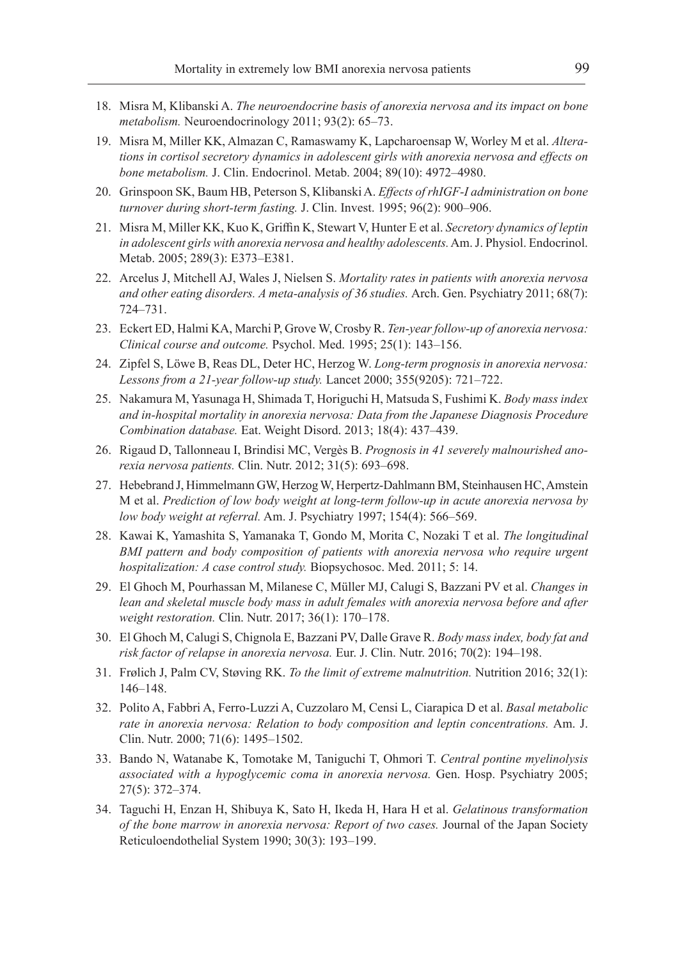- 18. Misra M, Klibanski A. *The neuroendocrine basis of anorexia nervosa and its impact on bone metabolism.* Neuroendocrinology 2011; 93(2): 65–73.
- 19. Misra M, Miller KK, Almazan C, Ramaswamy K, Lapcharoensap W, Worley M et al. *Alterations in cortisol secretory dynamics in adolescent girls with anorexia nervosa and effects on bone metabolism.* J. Clin. Endocrinol. Metab. 2004; 89(10): 4972–4980.
- 20. Grinspoon SK, Baum HB, Peterson S, Klibanski A. *Effects of rhIGF-I administration on bone turnover during short-term fasting.* J. Clin. Invest. 1995; 96(2): 900–906.
- 21. Misra M, Miller KK, Kuo K, Griffin K, Stewart V, Hunter E et al. *Secretory dynamics of leptin in adolescent girls with anorexia nervosa and healthy adolescents.* Am. J. Physiol. Endocrinol. Metab. 2005; 289(3): E373–E381.
- 22. Arcelus J, Mitchell AJ, Wales J, Nielsen S. *Mortality rates in patients with anorexia nervosa and other eating disorders. A meta-analysis of 36 studies.* Arch. Gen. Psychiatry 2011; 68(7): 724–731.
- 23. Eckert ED, Halmi KA, Marchi P, Grove W, Crosby R. *Ten-year follow-up of anorexia nervosa: Clinical course and outcome.* Psychol. Med. 1995; 25(1): 143–156.
- 24. Zipfel S, Löwe B, Reas DL, Deter HC, Herzog W. *Long-term prognosis in anorexia nervosa: Lessons from a 21-year follow-up study.* Lancet 2000; 355(9205): 721–722.
- 25. Nakamura M, Yasunaga H, Shimada T, Horiguchi H, Matsuda S, Fushimi K. *Body mass index and in-hospital mortality in anorexia nervosa: Data from the Japanese Diagnosis Procedure Combination database.* Eat. Weight Disord. 2013; 18(4): 437–439.
- 26. Rigaud D, Tallonneau I, Brindisi MC, Vergès B. *Prognosis in 41 severely malnourished anorexia nervosa patients.* Clin. Nutr. 2012; 31(5): 693–698.
- 27. Hebebrand J, Himmelmann GW, Herzog W, Herpertz-Dahlmann BM, Steinhausen HC, Amstein M et al. *Prediction of low body weight at long-term follow-up in acute anorexia nervosa by low body weight at referral.* Am. J. Psychiatry 1997; 154(4): 566–569.
- 28. Kawai K, Yamashita S, Yamanaka T, Gondo M, Morita C, Nozaki T et al. *The longitudinal BMI pattern and body composition of patients with anorexia nervosa who require urgent hospitalization: A case control study.* Biopsychosoc. Med. 2011; 5: 14.
- 29. El Ghoch M, Pourhassan M, Milanese C, Müller MJ, Calugi S, Bazzani PV et al. *Changes in lean and skeletal muscle body mass in adult females with anorexia nervosa before and after weight restoration.* Clin. Nutr. 2017; 36(1): 170–178.
- 30. El Ghoch M, Calugi S, Chignola E, Bazzani PV, Dalle Grave R. *Body mass index, body fat and risk factor of relapse in anorexia nervosa.* Eur. J. Clin. Nutr. 2016; 70(2): 194–198.
- 31. Frølich J, Palm CV, Støving RK. *To the limit of extreme malnutrition.* Nutrition 2016; 32(1): 146–148.
- 32. Polito A, Fabbri A, Ferro-Luzzi A, Cuzzolaro M, Censi L, Ciarapica D et al. *Basal metabolic rate in anorexia nervosa: Relation to body composition and leptin concentrations.* Am. J. Clin. Nutr. 2000; 71(6): 1495–1502.
- 33. Bando N, Watanabe K, Tomotake M, Taniguchi T, Ohmori T. *Central pontine myelinolysis associated with a hypoglycemic coma in anorexia nervosa.* Gen. Hosp. Psychiatry 2005; 27(5): 372–374.
- 34. Taguchi H, Enzan H, Shibuya K, Sato H, Ikeda H, Hara H et al. *Gelatinous transformation of the bone marrow in anorexia nervosa: Report of two cases.* Journal of the Japan Society Reticuloendothelial System 1990; 30(3): 193–199.